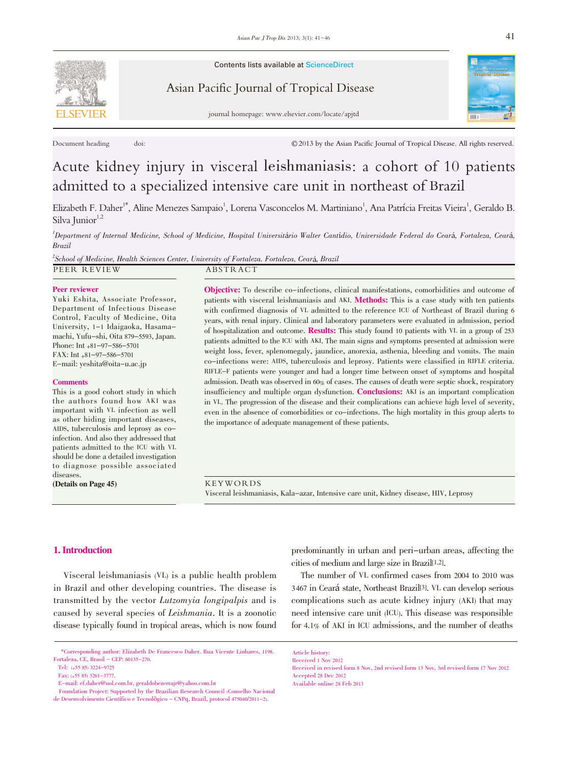Contents lists available at ScienceDirect



Asian Pacific Journal of Tropical Disease



journal homepage: www.elsevier.com/locate/apjtd

Document heading doi: contract the Asian Pacific Journal of Tropical Disease. All rights reserved.

# Acute kidney injury in visceral leishmaniasis: a cohort of 10 patients admitted to a specialized intensive care unit in northeast of Brazil

Elizabeth F. Daher<sup>1\*</sup>, Aline Menezes Sampaio<sup>1</sup>, Lorena Vasconcelos M. Martiniano<sup>1</sup>, Ana Patrícia Freitas Vieira<sup>1</sup>, Geraldo B. Silva Junior<sup>1,2</sup>

1 Department of Internal Medicine, School of Medicine, Hospital Universitário Walter Cantídio, Universidade Federal do Ceará, Fortaleza, Ceará, Brazil

 $^2$ School of Medicine, Health Sciences Center, University of Fortaleza. Fortaleza, Ceará, Brazil PEER REVIEW ABSTRACT

#### Peer reviewer

Yuki Eshita, Associate Professor, Department of Infectious Disease Control, Faculty of Medicine, Oita University, 1-1 Idaigaoka, Hasamamachi, Yufu-shi, Oita 879-5593, Japan. Phone: Int +81-97-586-5701 FAX: Int +81-97-586-5701 E-mail: yeshita@oita-u.ac.jp

#### **Comments**

This is a good cohort study in which the authors found how AKI was important with VL infection as well as other hiding important diseases, AIDS, tuberculosis and leprosy as coinfection. And also they addressed that patients admitted to the ICU with VL should be done a detailed investigation to diagnose possible associated diseases.

(Details on Page 45)

Objective: To describe co-infections, clinical manifestations, comorbidities and outcome of patients with visceral leishmaniasis and AKI. Methods: This is a case study with ten patients with confirmed diagnosis of VL admitted to the reference ICU of Northeast of Brazil during 6 years, with renal injury. Clinical and laboratory parameters were evaluated in admission, period of hospitalization and outcome. Results: This study found <sup>10</sup> patients with VL in a group of <sup>253</sup> patients admitted to the ICU with AKI. The main signs and symptoms presented at admission were weight loss, fever, splenomegaly, jaundice, anorexia, asthenia, bleeding and vomits. The main co-infections were: AIDS, tuberculosis and leprosy. Patients were classified in RIFLE criteria. RIFLE-F patients were younger and had a longer time between onset of symptoms and hospital admission. Death was observed in 60% of cases. The causes of death were septic shock, respiratory insufficiency and multiple organ dysfunction. **Conclusions:** AKI is an important complication in VL. The progression of the disease and their complications can achieve high level of severity, even in the absence of comorbidities or co-infections. The high mortality in this group alerts to the importance of adequate management of these patients.

KEYWORDS Visceral leishmaniasis, Kala-azar, Intensive care unit, Kidney disease, HIV, Leprosy

# 1. Introduction

Visceral leishmaniasis (VL) is a public health problem in Brazil and other developing countries. The disease is transmitted by the vector Lutzomyia longipalpis and is caused by several species of Leishmania. It is a zoonotic disease typically found in tropical areas, which is now found

predominantly in urban and peri-urban areas, affecting the cities of medium and large size in Brazil[1,2].

The number of VL confirmed cases from 2004 to 2010 was <sup>3467</sup> in Ceará state, Northeast Brazil[3]. VL can develop serious complications such as acute kidney injury (AKI) that may need intensive care unit (ICU). This disease was responsible for 4.1% of AKI in ICU admissions, and the number of deaths

<sup>\*</sup>Corresponding author: Elizabeth De Francesco Daher. Rua Vicente Linhares, 1198. Fortaleza, CE, Brasil - CEP: 60135-270.

Tel: (+55 85) 3224-9725

Fax: (+55 85) 3261-3777.

E-mail: ef.daher@uol.com.br, geraldobezerrajr@yahoo.com.br

Foundation Project: Supported by the Brazilian Research Council (Conselho Nacional de Desenvolvimento Científico e Tecnolõgico - CNPq, Brazil, protocol 475040/2011-2).

Article history:

Received 1 Nov 2012

Received in revised form 8 Nov, 2nd revised form 13 Nov, 3rd revised form 17 Nov 2012 Accepted 28 Dec 2012 Available online 28 Feb 2013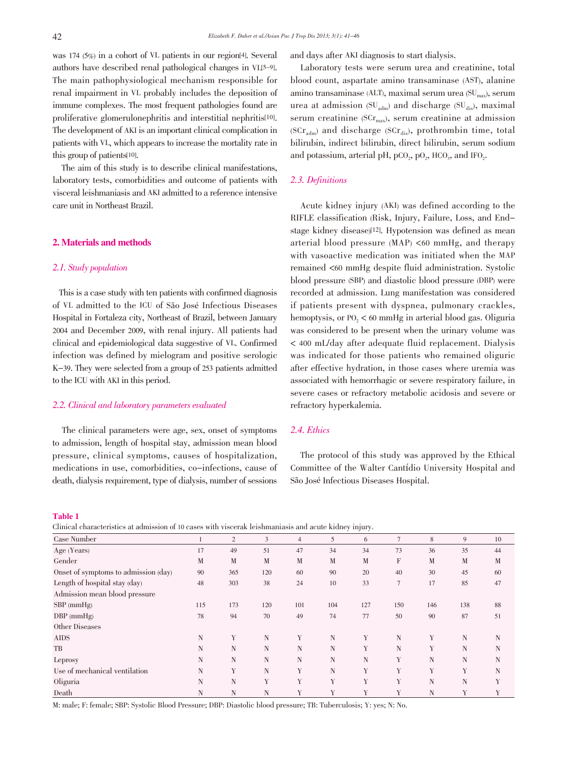was 174 (5%) in a cohort of VL patients in our region[4]. Several authors have described renal pathological changes in VL[5-9]. The main pathophysiological mechanism responsible for renal impairment in VL probably includes the deposition of immune complexes. The most frequent pathologies found are proliferative glomerulonephritis and interstitial nephritis[10]. The development of AKI is an important clinical complication in patients with VL, which appears to increase the mortality rate in this group of patients[10].

The aim of this study is to describe clinical manifestations, laboratory tests, comorbidities and outcome of patients with visceral leishmaniasis and AKI admitted to a reference intensive care unit in Northeast Brazil.

# 2. Materials and methods

# 2.1. Study population

This is a case study with ten patients with confirmed diagnosis of VL admitted to the ICU of São José Infectious Diseases Hospital in Fortaleza city, Northeast of Brazil, between January 2004 and December 2009, with renal injury. All patients had clinical and epidemiological data suggestive of VL. Confirmed infection was defined by mielogram and positive serologic K-39. They were selected from a group of 253 patients admitted to the ICU with AKI in this period.

# 2.2. Clinical and laboratory parameters evaluated

The clinical parameters were age, sex, onset of symptoms to admission, length of hospital stay, admission mean blood pressure, clinical symptoms, causes of hospitalization, medications in use, comorbidities, co-infections, cause of death, dialysis requirement, type of dialysis, number of sessions

and days after AKI diagnosis to start dialysis.

Laboratory tests were serum urea and creatinine, total blood count, aspartate amino transaminase (AST), alanine amino transaminase (ALT), maximal serum urea  $SU_{\text{max}}$ ), serum urea at admission  $SU_{\text{adm}}$  and discharge  $SU_{\text{dis}}$ , maximal serum creatinine ( $SCr_{\text{max}}$ ), serum creatinine at admission ( $SCr<sub>adm</sub>$ ) and discharge ( $SCr<sub>dis</sub>$ ), prothrombin time, total bilirubin, indirect bilirubin, direct bilirubin, serum sodium and potassium, arterial pH,  $pCO<sub>2</sub>$ ,  $pO<sub>2</sub>$ ,  $HCO<sub>3</sub>$ , and IFO<sub>2</sub>.

# 2.3. Definitions

Acute kidney injury (AKI) was defined according to the RIFLE classification (Risk, Injury, Failure, Loss, and Endstage kidney disease)[12]. Hypotension was defined as mean arterial blood pressure (MAP) <60 mmHg, and therapy with vasoactive medication was initiated when the MAP remained <60 mmHg despite fluid administration. Systolic blood pressure (SBP) and diastolic blood pressure (DBP) were recorded at admission. Lung manifestation was considered if patients present with dyspnea, pulmonary crackles, hemoptysis, or  $P_0$ ,  $\lt$  60 mmHg in arterial blood gas. Oliguria was considered to be present when the urinary volume was < 400 mL/day after adequate fluid replacement. Dialysis was indicated for those patients who remained oliguric after effective hydration, in those cases where uremia was associated with hemorrhagic or severe respiratory failure, in severe cases or refractory metabolic acidosis and severe or refractory hyperkalemia.

# 2.4. Ethics

The protocol of this study was approved by the Ethical Committee of the Walter Cantídio University Hospital and São José Infectious Diseases Hospital.

#### Table 1

Clinical characteristics at admission of 10 cases with viscerak leishmaniasis and acute kidney injury.

| Case Number                          |     | $\overline{2}$ | 3   | 4   | 5   | 6   | $\tau$         | 8   | 9   | 10 |
|--------------------------------------|-----|----------------|-----|-----|-----|-----|----------------|-----|-----|----|
| Age (Years)                          | 17  | 49             | 51  | 47  | 34  | 34  | 73             | 36  | 35  | 44 |
| Gender                               | M   | M              | M   | M   | M   | M   | F              | M   | M   | M  |
| Onset of symptoms to admission (day) | 90  | 365            | 120 | 60  | 90  | 20  | 40             | 30  | 45  | 60 |
| Length of hospital stay (day)        | 48  | 303            | 38  | 24  | 10  | 33  | $\overline{7}$ | 17  | 85  | 47 |
| Admission mean blood pressure        |     |                |     |     |     |     |                |     |     |    |
| $SBP$ (mmHg)                         | 115 | 173            | 120 | 101 | 104 | 127 | 150            | 146 | 138 | 88 |
| $DBP$ (mmHg)                         | 78  | 94             | 70  | 49  | 74  | 77  | 50             | 90  | 87  | 51 |
| Other Diseases                       |     |                |     |     |     |     |                |     |     |    |
| <b>AIDS</b>                          | Ν   | Y              | N   | Y   | N   | Y   | N              | Y   | N   | N  |
| TB                                   | N   | N              | N   | N   | N   | Y   | N              | Y   | N   | N  |
| Leprosy                              | N   | N              | N   | N   | N   | N   | Y              | N   | N   | N  |
| Use of mechanical ventilation        | N   | Y              | N   | Y   | N   | Y   | Y              | Y   | Y   | N  |
| Oliguria                             | N   | N              | Y   | Y   | Y   | Y   | Y              | N   | N   | Y  |
| Death                                | Ν   | N              | N   | Y   | Y   | Y   | Y              | N   | Y   | Y  |

M: male; F: female; SBP: Systolic Blood Pressure; DBP: Diastolic blood pressure; TB: Tuberculosis; Y: yes; N: No.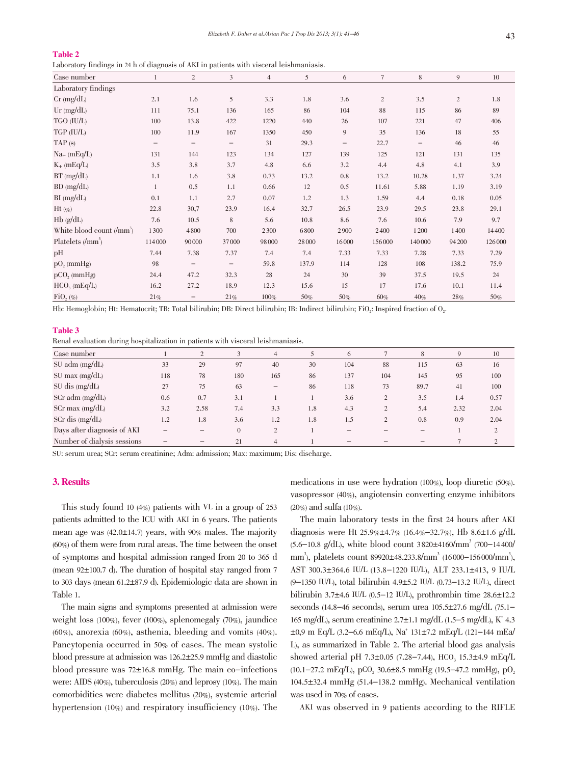# Table 2

Laboratory findings in 24 h of diagnosis of AKI in patients with visceral leishmaniasis.

| $\tilde{ }$                                     | $\sim$       | л.                       |                   |                |        |       |                 |                   |                |         |
|-------------------------------------------------|--------------|--------------------------|-------------------|----------------|--------|-------|-----------------|-------------------|----------------|---------|
| Case number                                     | $\mathbf{1}$ | $\overline{2}$           | $\overline{3}$    | $\overline{4}$ | 5      | 6     | $7\phantom{.0}$ | 8                 | 9              | 10      |
| Laboratory findings                             |              |                          |                   |                |        |       |                 |                   |                |         |
| $Cr$ (mg/dL)                                    | 2.1          | 1.6                      | 5                 | 3.3            | 1.8    | 3.6   | $\sqrt{2}$      | 3.5               | $\overline{c}$ | 1.8     |
| Ur $(mg/dL)$                                    | 111          | 75.1                     | 136               | 165            | 86     | 104   | 88              | 115               | 86             | 89      |
| TGO (IU/L)                                      | 100          | 13.8                     | 422               | 1220           | 440    | 26    | 107             | 221               | 47             | 406     |
| TGP (IU/L)                                      | 100          | 11.9                     | 167               | 1350           | 450    | 9     | 35              | 136               | 18             | 55      |
| TAP(s)                                          |              | $\qquad \qquad -$        | -                 | 31             | 29.3   | —     | 22.7            | $\qquad \qquad -$ | 46             | 46      |
| $Na+$ (mEq/L)                                   | 131          | 144                      | 123               | 134            | 127    | 139   | 125             | 121               | 131            | 135     |
| $K_{+}$ (mEq/L)                                 | 3.5          | 3.8                      | 3.7               | 4.8            | 6.6    | 3.2   | 4.4             | 4.8               | 4.1            | 3.9     |
| $BT$ (mg/dL)                                    | 1.1          | 1.6                      | 3.8               | 0.73           | 13.2   | 0.8   | 13.2            | 10.28             | 1.37           | 3.24    |
| BD (mg/dL)                                      | $\mathbf{1}$ | 0.5                      | 1.1               | 0.66           | 12     | 0.5   | 11.61           | 5.88              | 1.19           | 3.19    |
| $BI$ (mg/dL)                                    | 0.1          | 1.1                      | 2.7               | 0.07           | 1.2    | 1.3   | 1.59            | 4.4               | 0.18           | 0.05    |
| $Ht$ (%)                                        | 22.8         | 30,7                     | 23.9              | 16.4           | 32.7   | 26.5  | 23.9            | 29.5              | 23.8           | 29.1    |
| $Hb$ ( $g/dL$ )                                 | 7.6          | 10.5                     | 8                 | 5.6            | 10.8   | 8.6   | 7.6             | 10.6              | 7.9            | 9.7     |
| White blood count $\langle \text{mm}^3 \rangle$ | 1300         | 4800                     | 700               | 2300           | 6800   | 2900  | 2400            | 1 2 0 0           | 1400           | 14400   |
| Platelets $\langle \text{mm}^3 \rangle$         | 114000       | 90000                    | 37000             | 98000          | 28 000 | 16000 | 156000          | 140 000           | 94 200         | 126 000 |
| pH                                              | 7.44         | 7.38                     | 7.37              | 7.4            | 7.4    | 7.33  | 7.33            | 7.28              | 7.33           | 7.29    |
| $pO$ , (mmHg)                                   | 98           | $\overline{\phantom{m}}$ | $\qquad \qquad -$ | 59.8           | 137.9  | 114   | 128             | 108               | 138.2          | 75.9    |
| $pCO$ , (mmHg)                                  | 24.4         | 47.2                     | 32.3              | 28             | 24     | 30    | 39              | 37.5              | 19.5           | 24      |
| HCO <sub>3</sub> (mEq/L)                        | 16.2         | 27.2                     | 18.9              | 12.3           | 15.6   | 15    | 17              | 17.6              | 10.1           | 11.4    |
| $\text{FiO}_2(\%)$                              | 21%          | $\qquad \qquad -$        | 21%               | 100%           | 50%    | 50%   | $60\%$          | 40%               | 28%            | 50%     |

Hb: Hemoglobin; Ht: Hematocrit; TB: Total bilirubin; DB: Direct bilirubin; IB: Indirect bilirubin; FiO<sub>2</sub>: Inspired fraction of O<sub>2</sub>.

#### Table 3

Renal evaluation during hospitalization in patients with visceral leishmaniasis.

| Case number                 |     | $\overline{2}$ | 3              | 4              |     | 6   |                | 8    | 9    | 10   |
|-----------------------------|-----|----------------|----------------|----------------|-----|-----|----------------|------|------|------|
| $SU$ adm (mg/dL)            | 33  | 29             | 97             | 40             | 30  | 104 | 88             | 115  | 63   | 16   |
| $SU$ max (mg/dL)            | 118 | 78             | 180            | 165            | 86  | 137 | 104            | 145  | 95   | 100  |
| $SU$ dis (mg/dL)            | 27  | 75             | 63             |                | 86  | 118 | 73             | 89.7 | 41   | 100  |
| $SCr$ adm (mg/dL)           | 0.6 | 0.7            | 3.1            |                |     | 3.6 | 2              | 3.5  | 1.4  | 0.57 |
| $SCr$ max (mg/dL)           | 3.2 | 2.58           | 7.4            | 3.3            | 1.8 | 4.3 | $\overline{2}$ | 5.4  | 2.32 | 2.04 |
| $SCr$ dis $(mg/dL)$         | 1.2 | 1.8            | 3.6            | 1.2            | 1.8 | 1.5 | 2              | 0.8  | 0.9  | 2.04 |
| Days after diagnosis of AKI |     |                | $\overline{0}$ | $\overline{c}$ |     |     |                |      |      | 2    |
| Number of dialysis sessions |     |                | 21             | 4              |     |     |                |      |      | 2    |

SU: serum urea; SCr: serum creatinine; Adm: admission; Max: maximum; Dis: discharge.

# 3. Results

This study found 10 (4%) patients with VL in a group of 253 patients admitted to the ICU with AKI in 6 years. The patients mean age was  $(42.0 \pm 14.7)$  years, with 90% males. The majority (60%) of them were from rural areas. The time between the onset of symptoms and hospital admission ranged from 20 to 365 d (mean  $92\pm100.7$  d). The duration of hospital stay ranged from 7 to 303 days (mean 61.2±87.9 d). Epidemiologic data are shown in Table 1.

The main signs and symptoms presented at admission were weight loss (100%), fever (100%), splenomegaly (70%), jaundice (60%), anorexia (60%), asthenia, bleeding and vomits (40%). Pancytopenia occurred in 50% of cases. The mean systolic blood pressure at admission was  $126.2 \pm 25.9$  mmHg and diastolic blood pressure was  $72\pm16.8$  mmHg. The main co-infections were: AIDS (40%), tuberculosis (20%) and leprosy (10%). The main comorbidities were diabetes mellitus (20%), systemic arterial hypertension (10%) and respiratory insufficiency (10%). The medications in use were hydration (100%), loop diuretic (50%). vasopressor (40%), angiotensin converting enzyme inhibitors (20%) and sulfa (10%).

The main laboratory tests in the first 24 hours after AKI diagnosis were Ht 25.9% $\pm$ 4.7% (16.4%-32.7%), Hb 8.6 $\pm$ 1.6 g/dL  $(5.6-10.8 \text{ g/dL})$ , white blood count 3820 $\pm 4160/\text{mm}^3$  (700-14400/ mm<sup>3</sup>), platelets count 89920±48.233.8/mm<sup>3</sup> (16000–156000/mm<sup>3</sup>), AST 300.3±364.6 IU/L (13.8-1220 IU/L), ALT 233.1±413, 9 IU/L (9-1350 IU/L), total bilirubin 4.9±5.2 IU/L (0.73-13.2 IU/L), direct bilirubin 3.7 $\pm$ 4.6 IU/L (0.5-12 IU/L), prothrombin time 28.6 $\pm$ 12.2 seconds (14.8-46 seconds), serum urea  $105.5 \pm 27.6$  mg/dL (75.1-165 mg/dL), serum creatinine 2.7±1.1 mg/dL (1.5-5 mg/dL), K<sup>+</sup> 4.3  $\pm 0.9$  m Eq/L (3.2–6.6 mEq/L), Na<sup>+</sup> 131 $\pm 7.2$  mEq/L (121–144 mEa/ L), as summarized in Table 2. The arterial blood gas analysis showed arterial pH 7.3 $\pm$ 0.05 (7.28–7.44), HCO<sub>3</sub> 15.3 $\pm$ 4.9 mEq/L  $(10.1-27.2 \text{ mEq/L})$ , pCO<sub>2</sub> 30.6 $\pm$ 8.5 mmHg (19.5-47.2 mmHg), pO<sub>2</sub>  $104.5 \pm 32.4$  mmHg (51.4-138.2 mmHg). Mechanical ventilation was used in 70% of cases.

AKI was observed in 9 patients according to the RIFLE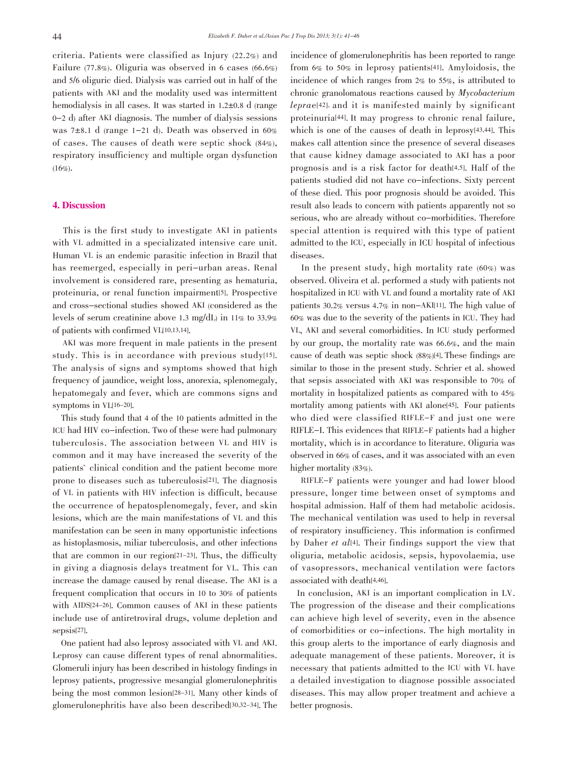criteria. Patients were classified as Injury (22.2%) and Failure (77.8%). Oliguria was observed in 6 cases (66.6%) and 5/6 oliguric died. Dialysis was carried out in half of the patients with AKI and the modality used was intermittent hemodialysis in all cases. It was started in  $1.2 \pm 0.8$  d (range 0-2 d) after AKI diagnosis. The number of dialysis sessions was 7 $\pm$ 8.1 d (range 1-21 d). Death was observed in 60% of cases. The causes of death were septic shock (84%), respiratory insufficiency and multiple organ dysfunction  $(16\%)$ .

# 4. Discussion

This is the first study to investigate AKI in patients with VL admitted in a specializated intensive care unit. Human VL is an endemic parasitic infection in Brazil that has reemerged, especially in peri-urban areas. Renal involvement is considered rare, presenting as hematuria, proteinuria, or renal function impairment[5]. Prospective and cross-sectional studies showed AKI (considered as the levels of serum creatinine above 1.3 mg/dL) in 11% to 33.9% of patients with confirmed VL[10,13,14].

AKI was more frequent in male patients in the present study. This is in accordance with previous study[15]. The analysis of signs and symptoms showed that high frequency of jaundice, weight loss, anorexia, splenomegaly, hepatomegaly and fever, which are commons signs and symptoms in VL[16-20].

This study found that 4 of the 10 patients admitted in the ICU had HIV co-infection. Two of these were had pulmonary tuberculosis. The association between VL and HIV is common and it may have increased the severity of the patients` clinical condition and the patient become more prone to diseases such as tuberculosis[21]. The diagnosis of VL in patients with HIV infection is difficult, because the occurrence of hepatosplenomegaly, fever, and skin lesions, which are the main manifestations of VL and this manifestation can be seen in many opportunistic infections as histoplasmosis, miliar tuberculosis, and other infections that are common in our region[21-23]. Thus, the difficulty in giving a diagnosis delays treatment for VL. This can increase the damage caused by renal disease. The AKI is a frequent complication that occurs in 10 to 30% of patients with AIDS[24-26]. Common causes of AKI in these patients include use of antiretroviral drugs, volume depletion and sepsis[27].

One patient had also leprosy associated with VL and AKI. Leprosy can cause different types of renal abnormalities. Glomeruli injury has been described in histology findings in leprosy patients, progressive mesangial glomerulonephritis being the most common lesion[28-31]. Many other kinds of glomerulonephritis have also been described[30,32-34]. The incidence of glomerulonephritis has been reported to range from 6% to 50% in leprosy patients[41]. Amyloidosis, the incidence of which ranges from 2% to 55%, is attributed to chronic granolomatous reactions caused by Mycobacterium leprae[42], and it is manifested mainly by significant proteinuria[44]. It may progress to chronic renal failure, which is one of the causes of death in leprosy<sup>[43,44]</sup>. This makes call attention since the presence of several diseases that cause kidney damage associated to AKI has a poor prognosis and is a risk factor for death[4,5]. Half of the patients studied did not have co-infections. Sixty percent of these died. This poor prognosis should be avoided. This result also leads to concern with patients apparently not so serious, who are already without co-morbidities. Therefore special attention is required with this type of patient admitted to the ICU, especially in ICU hospital of infectious diseases.

In the present study, high mortality rate (60%) was observed. Oliveira et al. performed a study with patients not hospitalized in ICU with VL and found a mortality rate of AKI patients 30.2% versus 4.7% in non-AKI[11]. The high value of 60% was due to the severity of the patients in ICU. They had VL, AKI and several comorbidities. In ICU study performed by our group, the mortality rate was 66.6%, and the main cause of death was septic shock (88%)[4]. These findings are similar to those in the present study. Schrier et al. showed that sepsis associated with AKI was responsible to 70% of mortality in hospitalized patients as compared with to 45% mortality among patients with AKI alone[45]. Four patients who died were classified RIFLE-F and just one were RIFLE-I. This evidences that RIFLE-F patients had a higher mortality, which is in accordance to literature. Oliguria was observed in 66% of cases, and it was associated with an even higher mortality (83%).

RIFLE-F patients were younger and had lower blood pressure, longer time between onset of symptoms and hospital admission. Half of them had metabolic acidosis. The mechanical ventilation was used to help in reversal of respiratory insufficiency. This information is confirmed by Daher et al[4]. Their findings support the view that oliguria, metabolic acidosis, sepsis, hypovolaemia, use of vasopressors, mechanical ventilation were factors associated with death[4,46].

In conclusion, AKI is an important complication in LV. The progression of the disease and their complications can achieve high level of severity, even in the absence of comorbidities or co-infections. The high mortality in this group alerts to the importance of early diagnosis and adequate management of these patients. Moreover, it is necessary that patients admitted to the ICU with VL have a detailed investigation to diagnose possible associated diseases. This may allow proper treatment and achieve a better prognosis.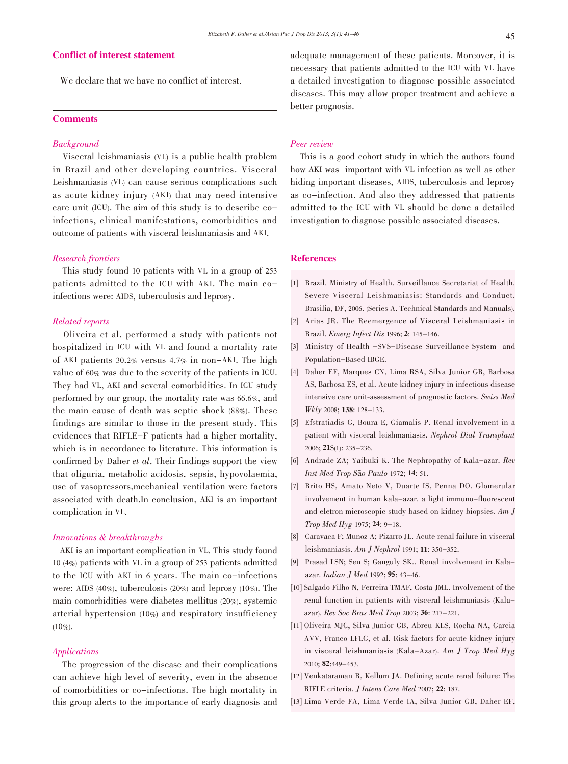# Conflict of interest statement

We declare that we have no conflict of interest.

# **Comments**

# Background

Visceral leishmaniasis (VL) is a public health problem in Brazil and other developing countries. Visceral Leishmaniasis (VL) can cause serious complications such as acute kidney injury (AKI) that may need intensive care unit (ICU). The aim of this study is to describe coinfections, clinical manifestations, comorbidities and outcome of patients with visceral leishmaniasis and AKI.

# Research frontiers

This study found 10 patients with VL in a group of 253 patients admitted to the ICU with AKI. The main coinfections were: AIDS, tuberculosis and leprosy.

# Related reports

Oliveira et al. performed a study with patients not hospitalized in ICU with VL and found a mortality rate of AKI patients 30.2% versus 4.7% in non-AKI. The high value of 60% was due to the severity of the patients in ICU. They had VL, AKI and several comorbidities. In ICU study performed by our group, the mortality rate was 66.6%, and the main cause of death was septic shock (88%). These findings are similar to those in the present study. This evidences that RIFLE-F patients had a higher mortality, which is in accordance to literature. This information is confirmed by Daher et al. Their findings support the view that oliguria, metabolic acidosis, sepsis, hypovolaemia, use of vasopressors,mechanical ventilation were factors associated with death.In conclusion, AKI is an important complication in VL.

## Innovations & breakthroughs

AKI is an important complication in VL. This study found 10 (4%) patients with VL in a group of 253 patients admitted to the ICU with AKI in 6 years. The main co-infections were: AIDS (40%), tuberculosis (20%) and leprosy (10%). The main comorbidities were diabetes mellitus (20%), systemic arterial hypertension (10%) and respiratory insufficiency  $(10\%).$ 

# Applications

The progression of the disease and their complications can achieve high level of severity, even in the absence of comorbidities or co-infections. The high mortality in this group alerts to the importance of early diagnosis and adequate management of these patients. Moreover, it is necessary that patients admitted to the ICU with VL have a detailed investigation to diagnose possible associated diseases. This may allow proper treatment and achieve a better prognosis.

## Peer review

This is a good cohort study in which the authors found how AKI was important with VL infection as well as other hiding important diseases, AIDS, tuberculosis and leprosy as co-infection. And also they addressed that patients admitted to the ICU with VL should be done a detailed investigation to diagnose possible associated diseases.

# References

- [1] Brazil. Ministry of Health. Surveillance Secretariat of Health. Severe Visceral Leishmaniasis: Standards and Conduct. Brasilia, DF, 2006. (Series A. Technical Standards and Manuals).
- [2] Arias JR. The Reemergence of Visceral Leishmaniasis in Brazil. Emerg Infect Dis 1996; 2: 145-146.
- [3] Ministry of Health -SVS-Disease Surveillance System and Population-Based IBGE.
- [4] Daher EF, Marques CN, Lima RSA, Silva Junior GB, Barbosa AS, Barbosa ES, et al. Acute kidney injury in infectious disease intensive care unit-assessment of prognostic factors. Swiss Med Wkly 2008; 138: 128-133.
- [5] Efstratiadis G, Boura E, Giamalis P. Renal involvement in a patient with visceral leishmaniasis. Nephrol Dial Transplant 2006; 21S(1): 235-236.
- [6] Andrade ZA; Yaibuki K. The Nephropathy of Kala-azar. Rev Inst Med Trop São Paulo 1972; 14: 51.
- [7] Brito HS, Amato Neto V, Duarte IS, Penna DO. Glomerular involvement in human kala-azar. a light immuno-fluorescent and eletron microscopic study based on kidney biopsies. Am J Trop Med Hyg 1975; 24: 9-18.
- [8] Caravaca F; Munoz A; Pizarro JL. Acute renal failure in visceral leishmaniasis. Am J Nephrol 1991; 11: 350-352.
- [9] Prasad LSN; Sen S; Ganguly SK.. Renal involvement in Kalaazar. Indian J Med 1992; 95: 43-46.
- [10] Salgado Filho N, Ferreira TMAF, Costa JML. Involvement of the renal function in patients with visceral leishmaniasis (Kalaazar). Rev Soc Bras Med Trop 2003; 36: 217-221.
- [11] Oliveira MJC, Silva Junior GB, Abreu KLS, Rocha NA, Garcia AVV, Franco LFLG, et al. Risk factors for acute kidney injury in visceral leishmaniasis (Kala-Azar). Am J Trop Med Hyg 2010; 82:449-453.
- [12] Venkataraman R, Kellum JA. Defining acute renal failure: The RIFLE criteria. J Intens Care Med 2007; 22: 187.
- [13] Lima Verde FA, Lima Verde IA, Silva Junior GB, Daher EF,